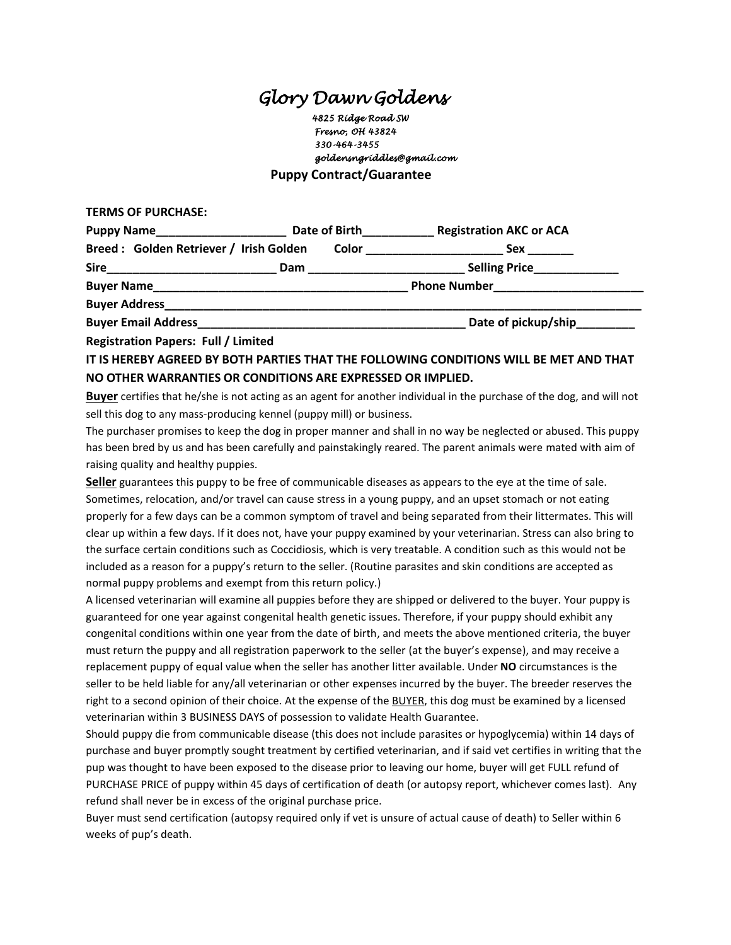## *Glory Dawn Goldens*

 *4825 Ridge Road SW Fresno, OH 43824 330-464-3455 goldensngriddles@gmail.com*  **Puppy Contract/Guarantee**

**TERMS OF PURCHASE:**

| Puppy Name__________________               | Date of Birth |              | <b>Registration AKC or ACA</b> |
|--------------------------------------------|---------------|--------------|--------------------------------|
| Breed: Golden Retriever / Irish Golden     |               | <b>Color</b> | Sex                            |
|                                            | Dam           |              | Selling Price__________        |
|                                            |               |              | <b>Phone Number</b>            |
| <b>Buyer Address</b>                       |               |              |                                |
| <b>Buyer Email Address</b>                 |               |              | Date of pickup/ship_________   |
| <b>Registration Papers: Full / Limited</b> |               |              |                                |

**IT IS HEREBY AGREED BY BOTH PARTIES THAT THE FOLLOWING CONDITIONS WILL BE MET AND THAT NO OTHER WARRANTIES OR CONDITIONS ARE EXPRESSED OR IMPLIED.**

**Buyer** certifies that he/she is not acting as an agent for another individual in the purchase of the dog, and will not sell this dog to any mass-producing kennel (puppy mill) or business.

The purchaser promises to keep the dog in proper manner and shall in no way be neglected or abused. This puppy has been bred by us and has been carefully and painstakingly reared. The parent animals were mated with aim of raising quality and healthy puppies.

**Seller** guarantees this puppy to be free of communicable diseases as appears to the eye at the time of sale. Sometimes, relocation, and/or travel can cause stress in a young puppy, and an upset stomach or not eating properly for a few days can be a common symptom of travel and being separated from their littermates. This will clear up within a few days. If it does not, have your puppy examined by your veterinarian. Stress can also bring to the surface certain conditions such as Coccidiosis, which is very treatable. A condition such as this would not be included as a reason for a puppy's return to the seller. (Routine parasites and skin conditions are accepted as normal puppy problems and exempt from this return policy.)

A licensed veterinarian will examine all puppies before they are shipped or delivered to the buyer. Your puppy is guaranteed for one year against congenital health genetic issues. Therefore, if your puppy should exhibit any congenital conditions within one year from the date of birth, and meets the above mentioned criteria, the buyer must return the puppy and all registration paperwork to the seller (at the buyer's expense), and may receive a replacement puppy of equal value when the seller has another litter available. Under **NO** circumstances is the seller to be held liable for any/all veterinarian or other expenses incurred by the buyer. The breeder reserves the right to a second opinion of their choice. At the expense of the BUYER, this dog must be examined by a licensed veterinarian within 3 BUSINESS DAYS of possession to validate Health Guarantee.

Should puppy die from communicable disease (this does not include parasites or hypoglycemia) within 14 days of purchase and buyer promptly sought treatment by certified veterinarian, and if said vet certifies in writing that the pup was thought to have been exposed to the disease prior to leaving our home, buyer will get FULL refund of PURCHASE PRICE of puppy within 45 days of certification of death (or autopsy report, whichever comes last). Any refund shall never be in excess of the original purchase price.

Buyer must send certification (autopsy required only if vet is unsure of actual cause of death) to Seller within 6 weeks of pup's death.